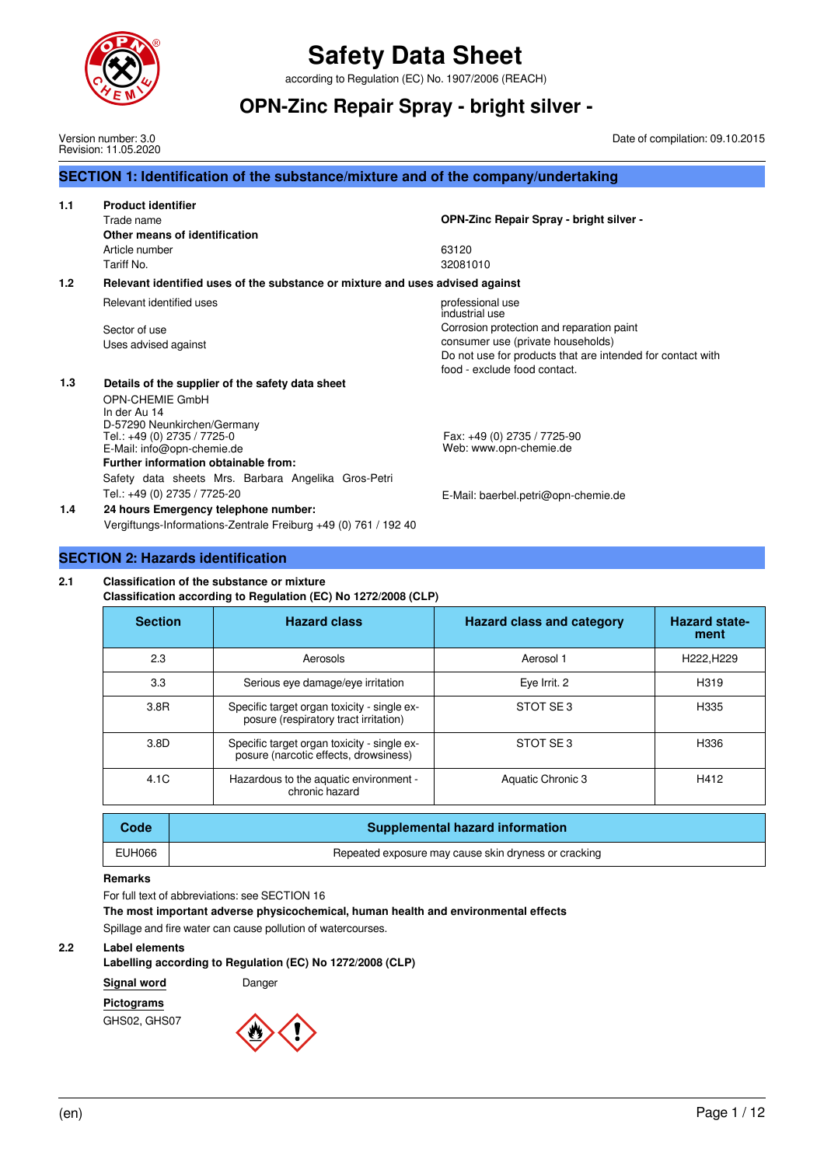

Version number: 3.0 Revision: 11.05.2020

## **Safety Data Sheet**

according to Regulation (EC) No. 1907/2006 (REACH)

### **OPN-Zinc Repair Spray - bright silver -**

Date of compilation: 09.10.2015

|       | SECTION 1: Identification of the substance/mixture and of the company/undertaking                                                                                                                                                                                              |                                                                                                                                                                                                                    |
|-------|--------------------------------------------------------------------------------------------------------------------------------------------------------------------------------------------------------------------------------------------------------------------------------|--------------------------------------------------------------------------------------------------------------------------------------------------------------------------------------------------------------------|
| 1.1   | <b>Product identifier</b><br>Trade name<br>Other means of identification<br>Article number<br>Tariff No.                                                                                                                                                                       | OPN-Zinc Repair Spray - bright silver -<br>63120<br>32081010                                                                                                                                                       |
| $1.2$ | Relevant identified uses of the substance or mixture and uses advised against                                                                                                                                                                                                  |                                                                                                                                                                                                                    |
|       | Relevant identified uses<br>Sector of use<br>Uses advised against                                                                                                                                                                                                              | professional use<br>industrial use<br>Corrosion protection and reparation paint<br>consumer use (private households)<br>Do not use for products that are intended for contact with<br>food - exclude food contact. |
| 1.3   | Details of the supplier of the safety data sheet<br>OPN-CHEMIE GmbH<br>In der Au 14<br>D-57290 Neunkirchen/Germany<br>Tel.: +49 (0) 2735 / 7725-0<br>E-Mail: info@opn-chemie.de<br>Further information obtainable from:<br>Safety data sheets Mrs. Barbara Angelika Gros-Petri | Fax: +49 (0) 2735 / 7725-90<br>Web: www.opn-chemie.de                                                                                                                                                              |
| 1.4   | Tel.: +49 (0) 2735 / 7725-20<br>24 hours Emergency telephone number:<br>Vergiftungs-Informations-Zentrale Freiburg +49 (0) 761 / 192 40                                                                                                                                        | E-Mail: baerbel.petri@opn-chemie.de                                                                                                                                                                                |

#### **SECTION 2: Hazards identification**

#### **2.1 Classification of the substance or mixture**

**Classification according to Regulation (EC) No 1272/2008 (CLP)**

| <b>Section</b>                          | <b>Hazard class</b>                                                                  | <b>Hazard class and category</b> | <b>Hazard state-</b><br>ment |  |  |  |  |
|-----------------------------------------|--------------------------------------------------------------------------------------|----------------------------------|------------------------------|--|--|--|--|
| 2.3                                     | Aerosols                                                                             | Aerosol 1                        | H222, H229                   |  |  |  |  |
| 3.3                                     | Serious eye damage/eye irritation                                                    | Eye Irrit. 2                     | H319                         |  |  |  |  |
| 3.8R                                    | Specific target organ toxicity - single ex-<br>posure (respiratory tract irritation) | STOT SE3                         | H335                         |  |  |  |  |
| 3.8D                                    | Specific target organ toxicity - single ex-<br>posure (narcotic effects, drowsiness) | STOT SE3                         | H336                         |  |  |  |  |
| 4.1C                                    | Hazardous to the aquatic environment -<br>chronic hazard                             | Aquatic Chronic 3                | H412                         |  |  |  |  |
| Coda<br>Sunnlamental hazard information |                                                                                      |                                  |                              |  |  |  |  |

| Code   | <b>Supplemental hazard information</b>               |
|--------|------------------------------------------------------|
| EUH066 | Repeated exposure may cause skin dryness or cracking |
|        |                                                      |

#### **Remarks**

For full text of abbreviations: see SECTION 16

**The most important adverse physicochemical, human health and environmental effects**

Spillage and fire water can cause pollution of watercourses.

#### **2.2 Label elements**

#### **Labelling according to Regulation (EC) No 1272/2008 (CLP)**

**Signal word** Danger

#### **Pictograms**

GHS02, GHS07

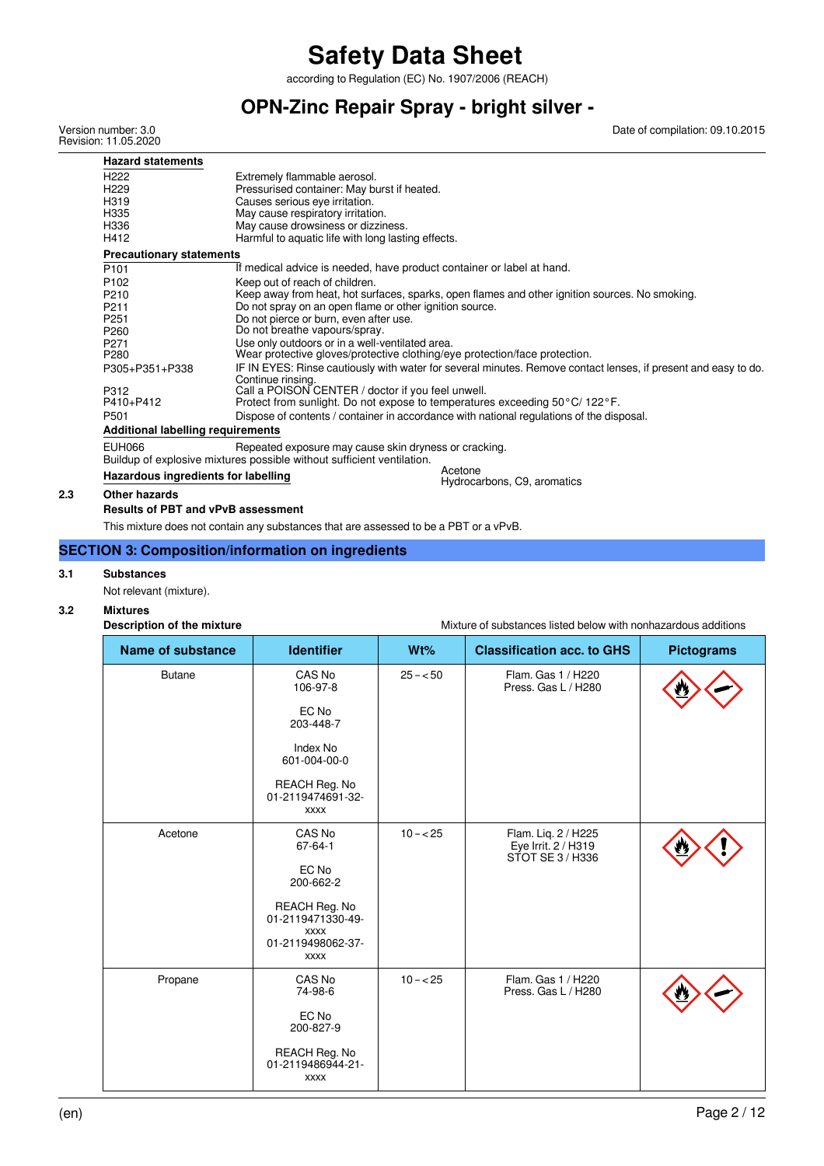according to Regulation (EC) No. 1907/2006 (REACH)

## **OPN-Zinc Repair Spray - bright silver -**

Version number: 3.0 Revision: 11.05.2020 Date of compilation: 09.10.2015

| <b>Hazard statements</b>                 |                                                                               |                                                                                                                |
|------------------------------------------|-------------------------------------------------------------------------------|----------------------------------------------------------------------------------------------------------------|
| H <sub>222</sub>                         | Extremely flammable aerosol.                                                  |                                                                                                                |
| H <sub>229</sub>                         | Pressurised container: May burst if heated.                                   |                                                                                                                |
| H319                                     | Causes serious eye irritation.                                                |                                                                                                                |
| H335                                     | May cause respiratory irritation.                                             |                                                                                                                |
| H336                                     | May cause drowsiness or dizziness.                                            |                                                                                                                |
| H412                                     | Harmful to aquatic life with long lasting effects.                            |                                                                                                                |
| <b>Precautionary statements</b>          |                                                                               |                                                                                                                |
| P <sub>101</sub>                         | If medical advice is needed, have product container or label at hand.         |                                                                                                                |
| P <sub>102</sub>                         | Keep out of reach of children.                                                |                                                                                                                |
| P210                                     |                                                                               | Keep away from heat, hot surfaces, sparks, open flames and other ignition sources. No smoking.                 |
| P <sub>211</sub>                         | Do not spray on an open flame or other ignition source.                       |                                                                                                                |
| P <sub>251</sub>                         | Do not pierce or burn, even after use.                                        |                                                                                                                |
| P <sub>260</sub>                         | Do not breathe vapours/spray.                                                 |                                                                                                                |
| P271                                     | Use only outdoors or in a well-ventilated area.                               |                                                                                                                |
| P <sub>280</sub>                         | Wear protective gloves/protective clothing/eye protection/face protection.    |                                                                                                                |
| P305+P351+P338                           | Continue rinsing.                                                             | IF IN EYES: Rinse cautiously with water for several minutes. Remove contact lenses, if present and easy to do. |
| P312                                     | Call a POISON CENTER / doctor if you feel unwell.                             |                                                                                                                |
| P410+P412                                | Protect from sunlight. Do not expose to temperatures exceeding 50 °C/ 122 °F. |                                                                                                                |
| P <sub>501</sub>                         |                                                                               | Dispose of contents / container in accordance with national regulations of the disposal.                       |
| <b>Additional labelling requirements</b> |                                                                               |                                                                                                                |
| EUH066                                   | Repeated exposure may cause skin dryness or cracking.                         |                                                                                                                |
|                                          | Buildup of explosive mixtures possible without sufficient ventilation.        |                                                                                                                |
| Hazardous ingredients for labelling      |                                                                               | Acetone<br>Hydrocarbons, C9, aromatics                                                                         |
| Othor hozarde                            |                                                                               |                                                                                                                |

#### **2.3 Other hazards**

**Results of PBT and vPvB assessment**

This mixture does not contain any substances that are assessed to be a PBT or a vPvB.

#### **SECTION 3: Composition/information on ingredients**

#### **3.1 Substances**

Not relevant (mixture).

#### **3.2 Mixtures**

|                          | Description of the mixture |                                                   | Mixture of substances listed below with nonhazardous additions |                                                                |                   |  |  |
|--------------------------|----------------------------|---------------------------------------------------|----------------------------------------------------------------|----------------------------------------------------------------|-------------------|--|--|
| <b>Name of substance</b> |                            | <b>Identifier</b>                                 | Wt%                                                            | <b>Classification acc. to GHS</b>                              | <b>Pictograms</b> |  |  |
|                          | <b>Butane</b>              | CAS No<br>106-97-8                                | $25 - 50$                                                      | Flam. Gas 1 / H220<br>Press. Gas L / H280                      |                   |  |  |
|                          |                            | EC No<br>203-448-7                                |                                                                |                                                                |                   |  |  |
|                          |                            | Index No<br>601-004-00-0                          |                                                                |                                                                |                   |  |  |
|                          |                            | REACH Reg. No<br>01-2119474691-32-<br><b>XXXX</b> |                                                                |                                                                |                   |  |  |
|                          | Acetone                    | CAS No<br>$67 - 64 - 1$                           | $10 - 25$                                                      | Flam. Liq. 2 / H225<br>Eye Irrit. 2 / H319<br>STOT SE 3 / H336 |                   |  |  |
|                          |                            | EC No<br>200-662-2                                |                                                                |                                                                |                   |  |  |
|                          |                            | REACH Reg. No<br>01-2119471330-49-                |                                                                |                                                                |                   |  |  |
|                          |                            | <b>XXXX</b><br>01-2119498062-37-<br><b>XXXX</b>   |                                                                |                                                                |                   |  |  |
|                          | Propane                    | CAS No<br>74-98-6                                 | $10 - 25$                                                      | Flam. Gas 1 / H220<br>Press. Gas L / H280                      |                   |  |  |
|                          |                            | EC No<br>200-827-9                                |                                                                |                                                                |                   |  |  |
|                          |                            | REACH Reg. No<br>01-2119486944-21-<br><b>XXXX</b> |                                                                |                                                                |                   |  |  |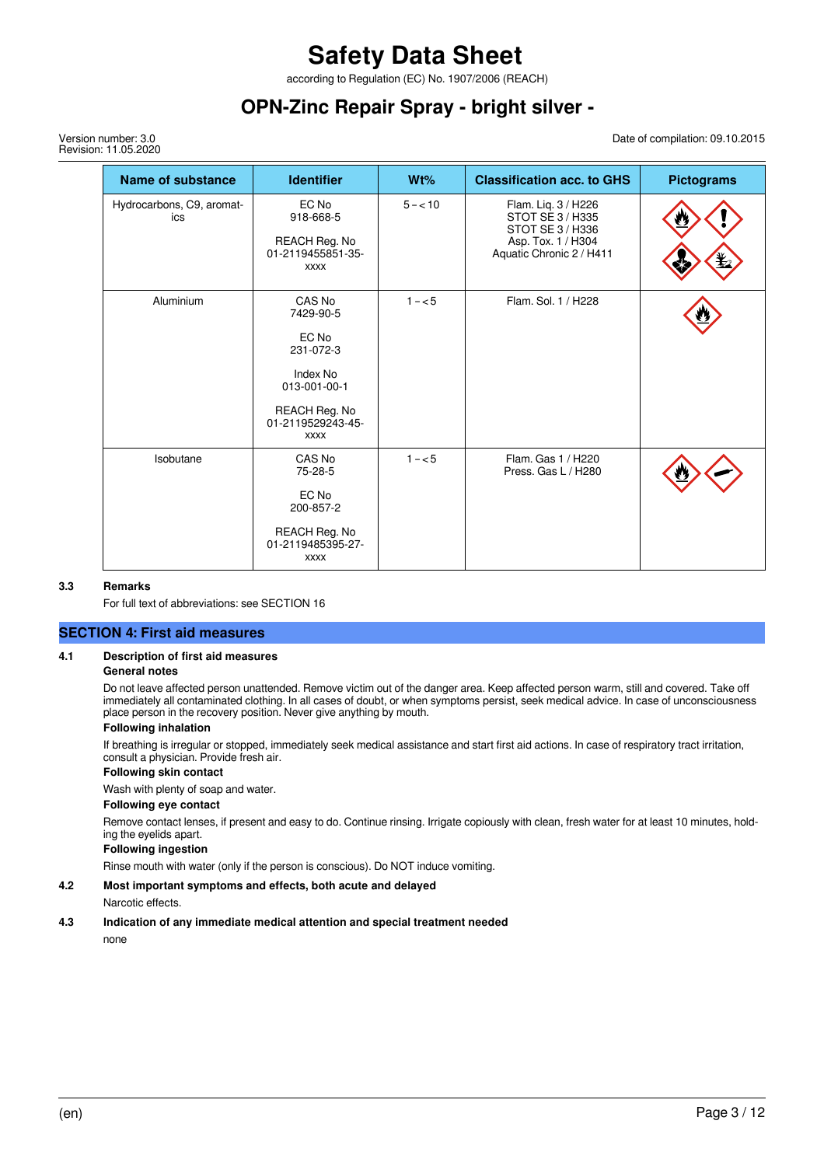according to Regulation (EC) No. 1907/2006 (REACH)

### **OPN-Zinc Repair Spray - bright silver -**

Version number: 3.0 Revision: 11.05.2020 Date of compilation: 09.10.2015

| <b>Name of substance</b>         | <b>Identifier</b>                                                                                                          | Wt%        | <b>Classification acc. to GHS</b>                                                                           | <b>Pictograms</b> |
|----------------------------------|----------------------------------------------------------------------------------------------------------------------------|------------|-------------------------------------------------------------------------------------------------------------|-------------------|
| Hydrocarbons, C9, aromat-<br>ics | EC No<br>918-668-5<br>REACH Reg. No<br>01-2119455851-35-<br><b>XXXX</b>                                                    | $5 - < 10$ | Flam. Liq. 3 / H226<br>STOT SE 3/H335<br>STOT SE 3 / H336<br>Asp. Tox. 1 / H304<br>Aquatic Chronic 2 / H411 |                   |
| Aluminium                        | CAS No<br>7429-90-5<br>EC No<br>231-072-3<br>Index No<br>013-001-00-1<br>REACH Reg. No<br>01-2119529243-45-<br><b>XXXX</b> | $1 - 5$    | Flam. Sol. 1 / H228                                                                                         |                   |
| Isobutane                        | CAS No<br>75-28-5<br>EC No<br>200-857-2<br>REACH Reg. No<br>01-2119485395-27-<br><b>XXXX</b>                               | $1 - 5$    | Flam. Gas 1 / H220<br>Press, Gas L / H280                                                                   |                   |

#### **3.3 Remarks**

For full text of abbreviations: see SECTION 16

#### **SECTION 4: First aid measures**

#### **4.1 Description of first aid measures**

#### **General notes**

Do not leave affected person unattended. Remove victim out of the danger area. Keep affected person warm, still and covered. Take off immediately all contaminated clothing. In all cases of doubt, or when symptoms persist, seek medical advice. In case of unconsciousness place person in the recovery position. Never give anything by mouth.

#### **Following inhalation**

If breathing is irregular or stopped, immediately seek medical assistance and start first aid actions. In case of respiratory tract irritation, consult a physician. Provide fresh air.

#### **Following skin contact**

Wash with plenty of soap and water.

#### **Following eye contact**

Remove contact lenses, if present and easy to do. Continue rinsing. Irrigate copiously with clean, fresh water for at least 10 minutes, holding the eyelids apart.

#### **Following ingestion**

Rinse mouth with water (only if the person is conscious). Do NOT induce vomiting.

#### **4.2 Most important symptoms and effects, both acute and delayed**

Narcotic effects.

#### **4.3 Indication of any immediate medical attention and special treatment needed**

none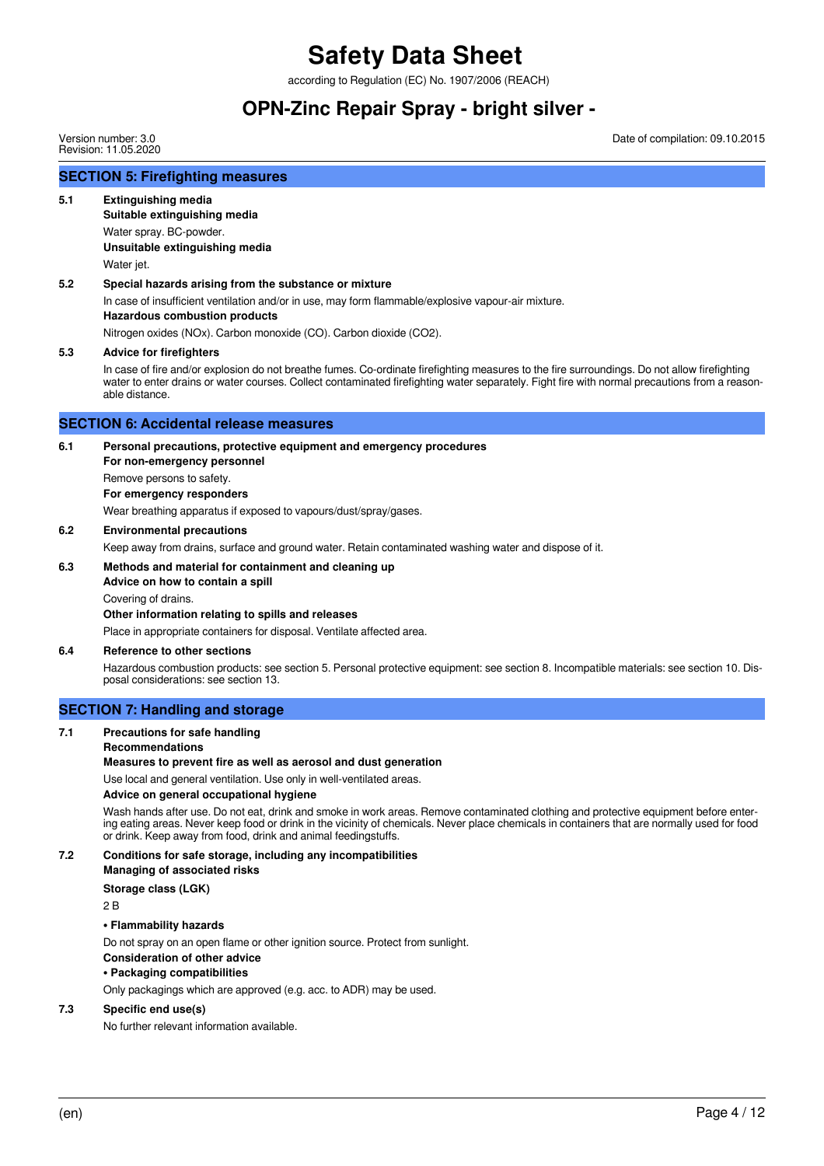according to Regulation (EC) No. 1907/2006 (REACH)

### **OPN-Zinc Repair Spray - bright silver -**

Version number: 3.0 Revision: 11.05.2020 Date of compilation: 09.10.2015

#### **SECTION 5: Firefighting measures**

#### **5.1 Extinguishing media**

**Suitable extinguishing media** Water spray. BC-powder. **Unsuitable extinguishing media** Water jet.

#### **5.2 Special hazards arising from the substance or mixture**

In case of insufficient ventilation and/or in use, may form flammable/explosive vapour-air mixture.

### **Hazardous combustion products**

Nitrogen oxides (NOx). Carbon monoxide (CO). Carbon dioxide (CO2).

#### **5.3 Advice for firefighters**

In case of fire and/or explosion do not breathe fumes. Co-ordinate firefighting measures to the fire surroundings. Do not allow firefighting water to enter drains or water courses. Collect contaminated firefighting water separately. Fight fire with normal precautions from a reasonable distance.

#### **SECTION 6: Accidental release measures**

#### **6.1 Personal precautions, protective equipment and emergency procedures**

**For non-emergency personnel** Remove persons to safety. **For emergency responders**

Wear breathing apparatus if exposed to vapours/dust/spray/gases.

**6.2 Environmental precautions**

Keep away from drains, surface and ground water. Retain contaminated washing water and dispose of it.

#### **6.3 Methods and material for containment and cleaning up**

**Advice on how to contain a spill**

Covering of drains.

#### **Other information relating to spills and releases**

Place in appropriate containers for disposal. Ventilate affected area.

#### **6.4 Reference to other sections**

Hazardous combustion products: see section 5. Personal protective equipment: see section 8. Incompatible materials: see section 10. Disposal considerations: see section 13.

#### **SECTION 7: Handling and storage**

#### **7.1 Precautions for safe handling**

#### **Recommendations**

**Measures to prevent fire as well as aerosol and dust generation**

Use local and general ventilation. Use only in well-ventilated areas.

#### **Advice on general occupational hygiene**

Wash hands after use. Do not eat, drink and smoke in work areas. Remove contaminated clothing and protective equipment before entering eating areas. Never keep food or drink in the vicinity of chemicals. Never place chemicals in containers that are normally used for food or drink. Keep away from food, drink and animal feedingstuffs.

**7.2 Conditions for safe storage, including any incompatibilities Managing of associated risks Storage class (LGK)**

 $2B$ 

#### **• Flammability hazards**

Do not spray on an open flame or other ignition source. Protect from sunlight. **Consideration of other advice • Packaging compatibilities**

Only packagings which are approved (e.g. acc. to ADR) may be used.

#### **7.3 Specific end use(s)**

No further relevant information available.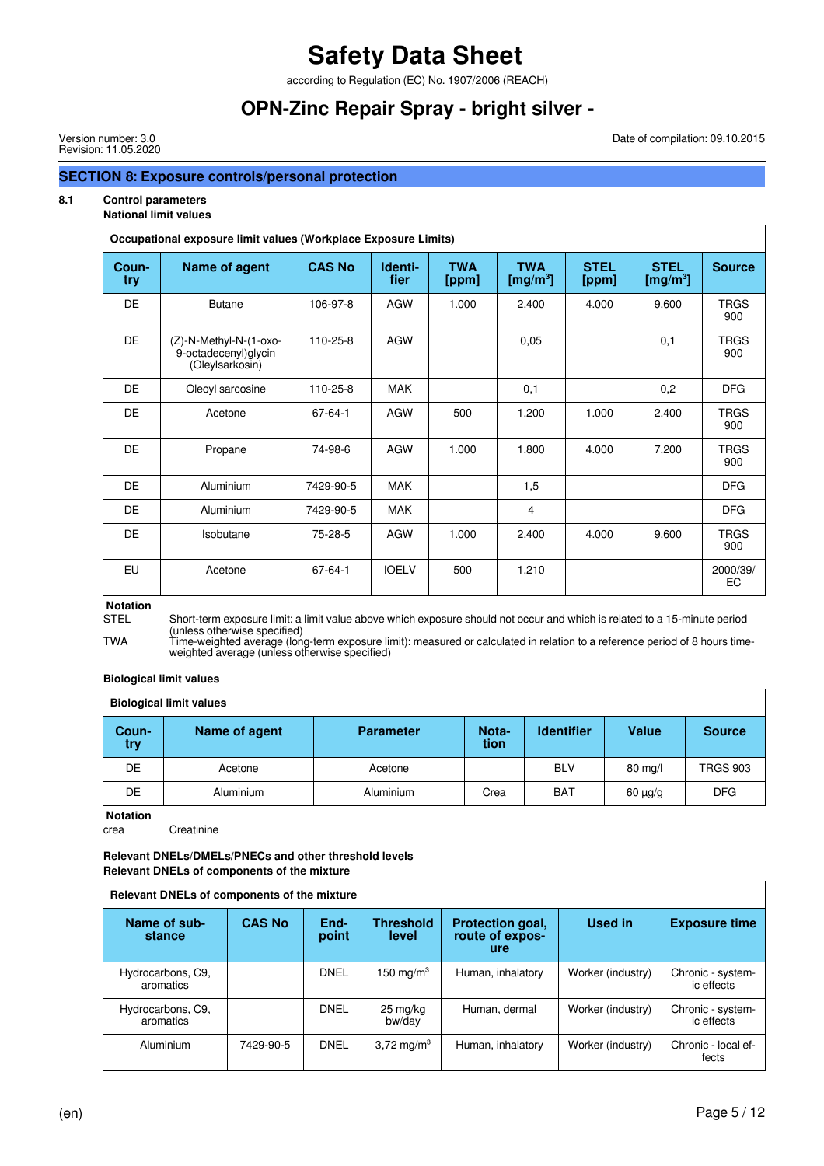according to Regulation (EC) No. 1907/2006 (REACH)

### **OPN-Zinc Repair Spray - bright silver -**

Version number: 3.0 Revision: 11.05.2020

#### Date of compilation: 09.10.2015

#### **SECTION 8: Exposure controls/personal protection**

#### **8.1 Control parameters**

### **National limit values**

| Occupational exposure limit values (Workplace Exposure Limits) |                                                                   |               |                 |                     |                           |                      |                                     |                    |  |
|----------------------------------------------------------------|-------------------------------------------------------------------|---------------|-----------------|---------------------|---------------------------|----------------------|-------------------------------------|--------------------|--|
| Coun-<br>try                                                   | <b>Name of agent</b>                                              | <b>CAS No</b> | Identi-<br>fier | <b>TWA</b><br>[ppm] | <b>TWA</b><br>[mg/m $3$ ] | <b>STEL</b><br>[ppm] | <b>STEL</b><br>[mg/m <sup>3</sup> ] | <b>Source</b>      |  |
| <b>DE</b>                                                      | <b>Butane</b>                                                     | 106-97-8      | <b>AGW</b>      | 1.000               | 2.400                     | 4.000                | 9.600                               | <b>TRGS</b><br>900 |  |
| <b>DE</b>                                                      | (Z)-N-Methyl-N-(1-oxo-<br>9-octadecenyl)glycin<br>(Oleylsarkosin) | 110-25-8      | <b>AGW</b>      |                     | 0,05                      |                      | 0,1                                 | <b>TRGS</b><br>900 |  |
| DE                                                             | Oleoyl sarcosine                                                  | 110-25-8      | <b>MAK</b>      |                     | 0,1                       |                      | 0,2                                 | <b>DFG</b>         |  |
| <b>DE</b>                                                      | Acetone                                                           | 67-64-1       | <b>AGW</b>      | 500                 | 1.200                     | 1.000                | 2.400                               | <b>TRGS</b><br>900 |  |
| <b>DE</b>                                                      | Propane                                                           | 74-98-6       | <b>AGW</b>      | 1.000               | 1.800                     | 4.000                | 7.200                               | <b>TRGS</b><br>900 |  |
| <b>DE</b>                                                      | Aluminium                                                         | 7429-90-5     | <b>MAK</b>      |                     | 1,5                       |                      |                                     | <b>DFG</b>         |  |
| DE.                                                            | Aluminium                                                         | 7429-90-5     | <b>MAK</b>      |                     | 4                         |                      |                                     | <b>DFG</b>         |  |
| DE.                                                            | Isobutane                                                         | 75-28-5       | <b>AGW</b>      | 1.000               | 2.400                     | 4.000                | 9.600                               | <b>TRGS</b><br>900 |  |
| EU                                                             | Acetone                                                           | 67-64-1       | <b>IOELV</b>    | 500                 | 1.210                     |                      |                                     | 2000/39/<br>EC     |  |

**Notation**

Short-term exposure limit: a limit value above which exposure should not occur and which is related to a 15-minute period (unless otherwise specified)

TWA Time-weighted average (long-term exposure limit): measured or calculated in relation to a reference period of 8 hours timeweighted average (unless otherwise specified)

#### **Biological limit values**

| <b>Biological limit values</b> |                  |                  |               |                   |         |                 |  |  |  |
|--------------------------------|------------------|------------------|---------------|-------------------|---------|-----------------|--|--|--|
| Coun-<br>try                   | Name of agent    | <b>Parameter</b> | Nota-<br>tion | <b>Identifier</b> | Value   | <b>Source</b>   |  |  |  |
| DE                             | Acetone          | Acetone          |               | <b>BLV</b>        | 80 mg/l | <b>TRGS 903</b> |  |  |  |
| DE.                            | <b>Aluminium</b> | <b>Aluminium</b> | Crea          | <b>BAT</b>        | 60 µg/g | <b>DFG</b>      |  |  |  |

**Notation**

crea Creatinine

#### **Relevant DNELs/DMELs/PNECs and other threshold levels Relevant DNELs of components of the mixture**

| Relevant DNELs of components of the mixture |               |               |                           |                                                   |                   |                                 |  |  |
|---------------------------------------------|---------------|---------------|---------------------------|---------------------------------------------------|-------------------|---------------------------------|--|--|
| Name of sub-<br>stance                      | <b>CAS No</b> | End-<br>point | <b>Threshold</b><br>level | <b>Protection goal,</b><br>route of expos-<br>ure | Used in           | <b>Exposure time</b>            |  |  |
| Hydrocarbons, C9,<br>aromatics              |               | <b>DNEL</b>   | 150 mg/m $^3$             | Human, inhalatory                                 | Worker (industry) | Chronic - system-<br>ic effects |  |  |
| Hydrocarbons, C9,<br>aromatics              |               | <b>DNEL</b>   | 25 mg/kg<br>bw/day        | Human, dermal                                     | Worker (industry) | Chronic - system-<br>ic effects |  |  |
| Aluminium                                   | 7429-90-5     | DNEL          | 3,72 mg/m <sup>3</sup>    | Human, inhalatory                                 | Worker (industry) | Chronic - local ef-<br>fects    |  |  |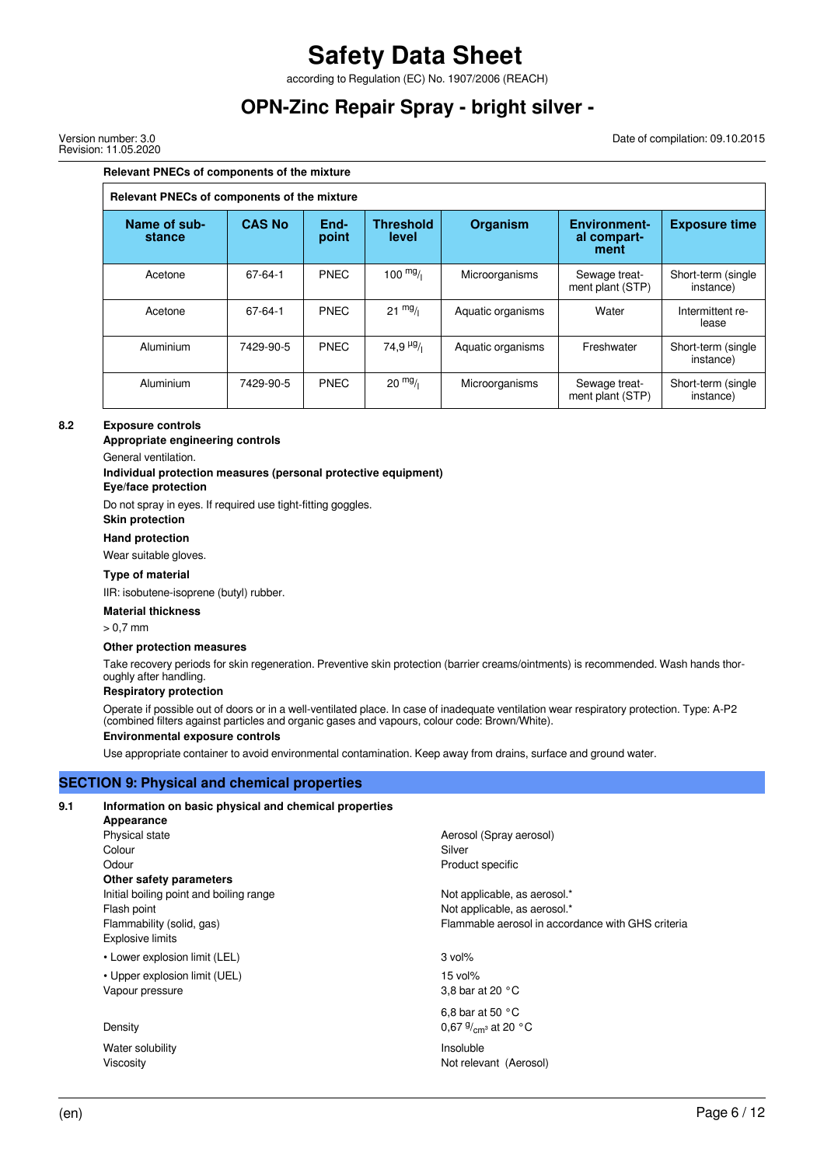according to Regulation (EC) No. 1907/2006 (REACH)

### **OPN-Zinc Repair Spray - bright silver -**

Version number: 3.0 Revision: 11.05.2020 Date of compilation: 09.10.2015

#### **Relevant PNECs of components of the mixture**

| Relevant PNECs of components of the mixture |               |               |                           |                   |                                            |                                 |  |  |
|---------------------------------------------|---------------|---------------|---------------------------|-------------------|--------------------------------------------|---------------------------------|--|--|
| Name of sub-<br>stance                      | <b>CAS No</b> | End-<br>point | <b>Threshold</b><br>level | <b>Organism</b>   | <b>Environment-</b><br>al compart-<br>ment | <b>Exposure time</b>            |  |  |
| Acetone                                     | $67 - 64 - 1$ | <b>PNEC</b>   | $100 \frac{mg}{l}$        | Microorganisms    | Sewage treat-<br>ment plant (STP)          | Short-term (single<br>instance) |  |  |
| Acetone                                     | $67 - 64 - 1$ | <b>PNEC</b>   | $21 \frac{mg}{l}$         | Aquatic organisms | Water                                      | Intermittent re-<br>lease       |  |  |
| Aluminium                                   | 7429-90-5     | <b>PNEC</b>   | $74.9\frac{\mu g}{\mu}$   | Aquatic organisms | Freshwater                                 | Short-term (single<br>instance) |  |  |
| Aluminium                                   | 7429-90-5     | <b>PNEC</b>   | $20 \frac{mg}{l}$         | Microorganisms    | Sewage treat-<br>ment plant (STP)          | Short-term (single<br>instance) |  |  |

#### **8.2 Exposure controls**

**Appropriate engineering controls**

General ventilation.

#### **Individual protection measures (personal protective equipment)**

#### **Eye/face protection**

Do not spray in eyes. If required use tight-fitting goggles.

**Skin protection**

#### **Hand protection**

Wear suitable gloves.

#### **Type of material**

IIR: isobutene-isoprene (butyl) rubber.

#### **Material thickness**

 $\sim$  0.7 mm

#### **Other protection measures**

Take recovery periods for skin regeneration. Preventive skin protection (barrier creams/ointments) is recommended. Wash hands thoroughly after handling.

#### **Respiratory protection**

Operate if possible out of doors or in a well-ventilated place. In case of inadequate ventilation wear respiratory protection. Type: A-P2 (combined filters against particles and organic gases and vapours, colour code: Brown/White).

#### **Environmental exposure controls**

Use appropriate container to avoid environmental contamination. Keep away from drains, surface and ground water.

#### **SECTION 9: Physical and chemical properties**

#### **9.1 Information on basic physical and chemical properties**

**Appearance** Physical state **Aerosol** (Spray aerosol) Colour Silver Silver Silver Silver Silver Silver Silver Silver Silver Silver Silver Silver Silver Silver Silver Odour **Product specific Other safety parameters** Initial boiling point and boiling range Not applicable, as aerosol.\* Flash point **Flash point**  $\blacksquare$  The set of the set of the set of the Not applicable, as aerosol.\* Explosive limits

• Lower explosion limit (LEL) 3 vol%

• Upper explosion limit (UEL) 15 vol% Vapour pressure 3,8 bar at 20 °C

#### Density 0,67 g

Water solubility **Insoluble** Viscosity **Not relevant** (Aerosol)

Flammability (solid, gas) Flammable aerosol in accordance with GHS criteria

6,8 bar at 50 °C

0,67 $9/cm<sub>3</sub>$  at 20 °C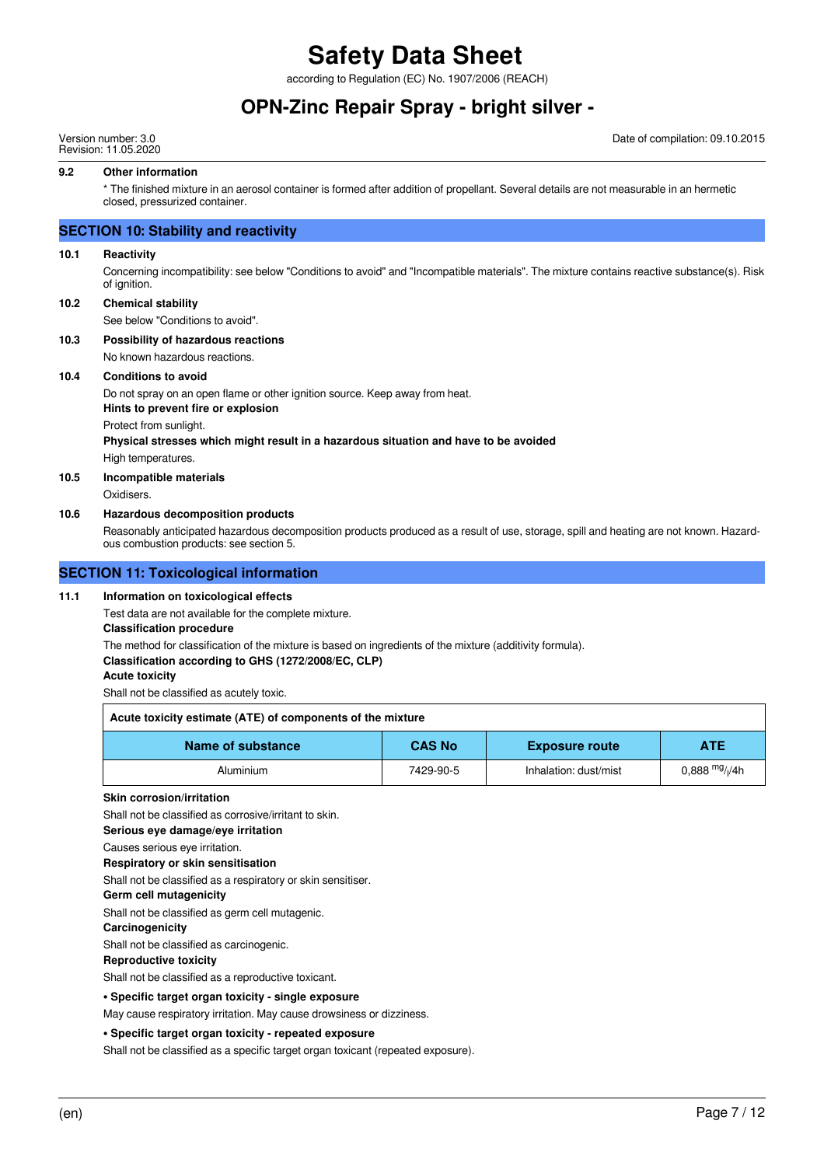according to Regulation (EC) No. 1907/2006 (REACH)

### **OPN-Zinc Repair Spray - bright silver -**

Version number: 3.0 Revision: 11.05.2020 Date of compilation: 09.10.2015

#### **9.2 Other information**

\* The finished mixture in an aerosol container is formed after addition of propellant. Several details are not measurable in an hermetic closed, pressurized container.

#### **SECTION 10: Stability and reactivity**

#### **10.1 Reactivity**

Concerning incompatibility: see below "Conditions to avoid" and "Incompatible materials". The mixture contains reactive substance(s). Risk of ignition.

**10.2 Chemical stability**

See below "Conditions to avoid".

**10.3 Possibility of hazardous reactions**

No known hazardous reactions.

#### **10.4 Conditions to avoid**

Do not spray on an open flame or other ignition source. Keep away from heat. **Hints to prevent fire or explosion**

Protect from sunlight.

**Physical stresses which might result in a hazardous situation and have to be avoided** High temperatures.

#### **10.5 Incompatible materials**

Oxidisers.

#### **10.6 Hazardous decomposition products**

Reasonably anticipated hazardous decomposition products produced as a result of use, storage, spill and heating are not known. Hazardous combustion products: see section 5.

#### **SECTION 11: Toxicological information**

#### **11.1 Information on toxicological effects**

Test data are not available for the complete mixture.

#### **Classification procedure**

The method for classification of the mixture is based on ingredients of the mixture (additivity formula).

#### **Classification according to GHS (1272/2008/EC, CLP)**

**Acute toxicity**

Shall not be classified as acutely toxic.

| Acute toxicity estimate (ATE) of components of the mixture                |           |                       |                               |  |  |
|---------------------------------------------------------------------------|-----------|-----------------------|-------------------------------|--|--|
| <b>CAS No</b><br>Name of substance<br><b>ATE</b><br><b>Exposure route</b> |           |                       |                               |  |  |
| Aluminium                                                                 | 7429-90-5 | Inhalation: dust/mist | $0.888$ <sup>mg</sup> / $/4h$ |  |  |

#### **Skin corrosion/irritation**

Shall not be classified as corrosive/irritant to skin.

**Serious eye damage/eye irritation**

Causes serious eye irritation.

#### **Respiratory or skin sensitisation**

Shall not be classified as a respiratory or skin sensitiser.

**Germ cell mutagenicity**

Shall not be classified as germ cell mutagenic.

#### **Carcinogenicity**

Shall not be classified as carcinogenic.

#### **Reproductive toxicity**

Shall not be classified as a reproductive toxicant.

#### **• Specific target organ toxicity - single exposure**

May cause respiratory irritation. May cause drowsiness or dizziness.

#### **• Specific target organ toxicity - repeated exposure**

Shall not be classified as a specific target organ toxicant (repeated exposure).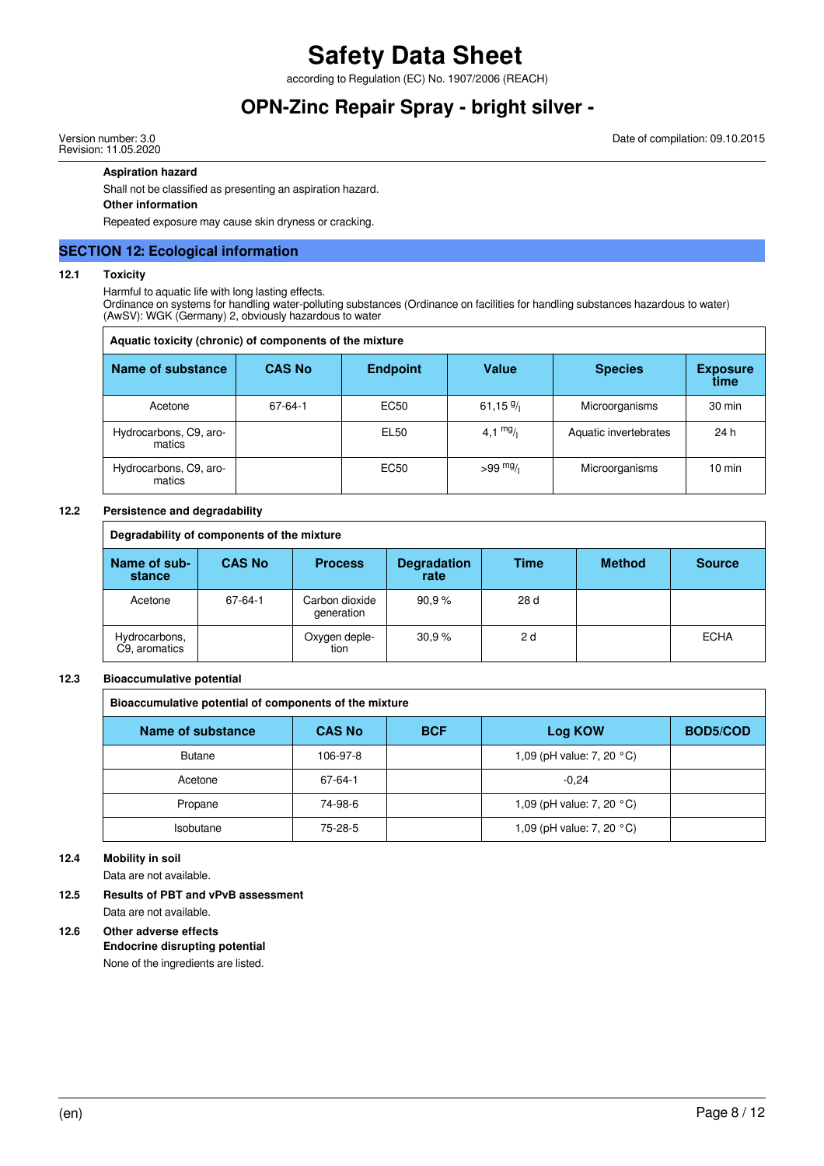according to Regulation (EC) No. 1907/2006 (REACH)

### **OPN-Zinc Repair Spray - bright silver -**

Version number: 3.0 Revision: 11.05.2020

#### **Aspiration hazard**

Shall not be classified as presenting an aspiration hazard.

#### **Other information**

Repeated exposure may cause skin dryness or cracking.

#### **SECTION 12: Ecological information**

#### **12.1 Toxicity**

Harmful to aquatic life with long lasting effects.

Ordinance on systems for handling water-polluting substances (Ordinance on facilities for handling substances hazardous to water) (AwSV): WGK (Germany) 2, obviously hazardous to water

| Aquatic toxicity (chronic) of components of the mixture |               |                 |             |                       |                         |  |  |  |  |
|---------------------------------------------------------|---------------|-----------------|-------------|-----------------------|-------------------------|--|--|--|--|
| Name of substance                                       | <b>CAS No</b> | <b>Endpoint</b> | Value       | <b>Species</b>        | <b>Exposure</b><br>time |  |  |  |  |
| Acetone                                                 | 67-64-1       | EC50            | 61,15 $9/1$ | Microorganisms        | 30 min                  |  |  |  |  |
| Hydrocarbons, C9, aro-<br>matics                        |               | EL50            | 4,1 $mg/$   | Aquatic invertebrates | 24 h                    |  |  |  |  |
| Hydrocarbons, C9, aro-<br>matics                        |               | <b>EC50</b>     | $>99$ mg/   | Microorganisms        | $10 \text{ min}$        |  |  |  |  |

#### **12.2 Persistence and degradability**

| Degradability of components of the mixture |               |                              |                            |      |               |               |
|--------------------------------------------|---------------|------------------------------|----------------------------|------|---------------|---------------|
| Name of sub-<br>stance                     | <b>CAS No</b> | <b>Process</b>               | <b>Degradation</b><br>rate | Time | <b>Method</b> | <b>Source</b> |
| Acetone                                    | 67-64-1       | Carbon dioxide<br>generation | 90.9%                      | 28 d |               |               |
| Hydrocarbons,<br>C9, aromatics             |               | Oxygen deple-<br>tion        | 30.9%                      | 2 d  |               | <b>ECHA</b>   |

#### **12.3 Bioaccumulative potential**

| Bioaccumulative potential of components of the mixture |               |            |                           |                 |
|--------------------------------------------------------|---------------|------------|---------------------------|-----------------|
| Name of substance                                      | <b>CAS No</b> | <b>BCF</b> | Log KOW                   | <b>BOD5/COD</b> |
| <b>Butane</b>                                          | 106-97-8      |            | 1,09 (pH value: 7, 20 °C) |                 |
| Acetone                                                | 67-64-1       |            | $-0.24$                   |                 |
| Propane                                                | 74-98-6       |            | 1,09 (pH value: 7, 20 °C) |                 |
| Isobutane                                              | 75-28-5       |            | 1,09 (pH value: 7, 20 °C) |                 |

#### **12.4 Mobility in soil**

Data are not available.

#### **12.5 Results of PBT and vPvB assessment**

Data are not available.

#### **12.6 Other adverse effects**

**Endocrine disrupting potential** None of the ingredients are listed.

Date of compilation: 09.10.2015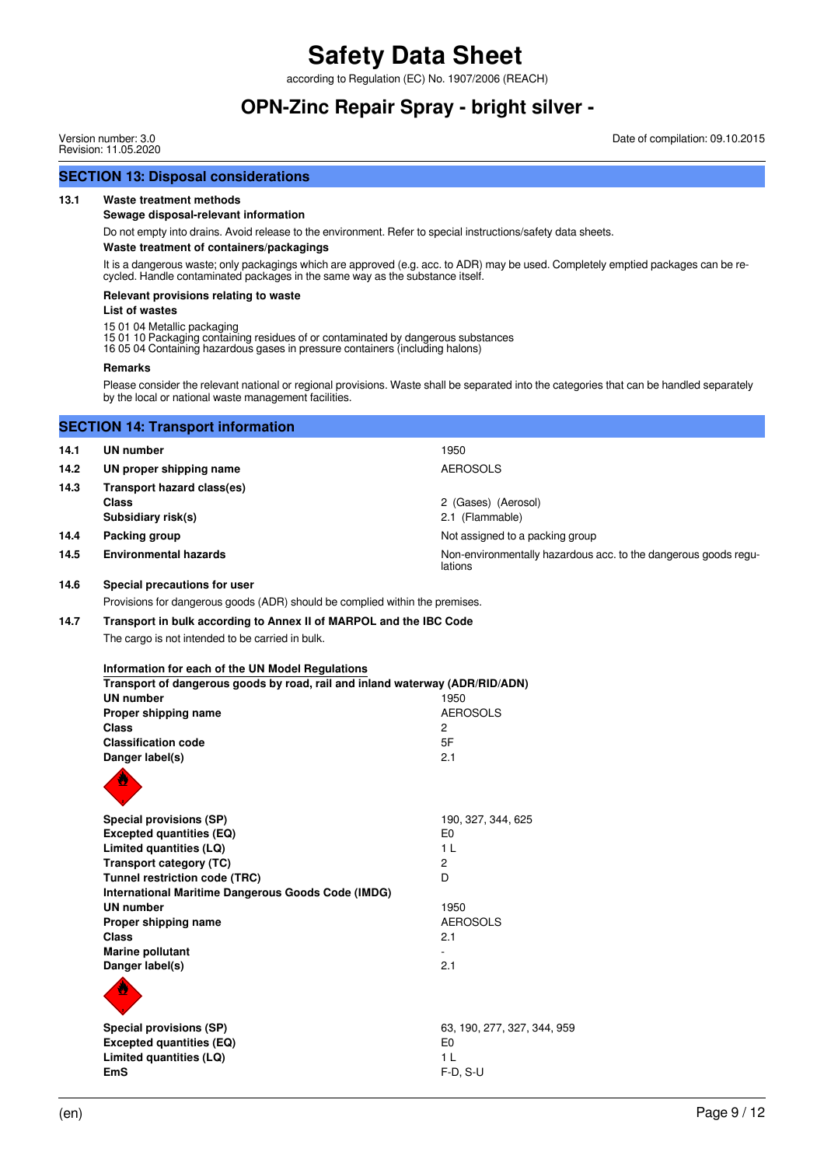according to Regulation (EC) No. 1907/2006 (REACH)

### **OPN-Zinc Repair Spray - bright silver -**

**SECTION 13: Disposal considerations**

**13.1 Waste treatment methods**

Version number: 3.0 Revision: 11.05.2020

**Sewage disposal-relevant information** Do not empty into drains. Avoid release to the environment. Refer to special instructions/safety data sheets. **Waste treatment of containers/packagings** It is a dangerous waste; only packagings which are approved (e.g. acc. to ADR) may be used. Completely emptied packages can be recycled. Handle contaminated packages in the same way as the substance itself. **Relevant provisions relating to waste List of wastes** 15 01 04 Metallic packaging 15 01 10 Packaging containing residues of or contaminated by dangerous substances 16 05 04 Containing hazardous gases in pressure containers (including halons) **Remarks** Please consider the relevant national or regional provisions. Waste shall be separated into the categories that can be handled separately by the local or national waste management facilities. **SECTION 14: Transport information 14.1 UN number** 1950 14.2 UN proper shipping name **AEROSOLS 14.3 Transport hazard class(es) Class** 2 (Gases) (Aerosol) **Subsidiary risk(s)** 2.1 (Flammable) **14.4 Packing group 14.4 Packing group Not assigned to a packing group** 14.5 **Environmental hazards Non-environmentally hazardous acc. to the dangerous goods regu**lations **14.6 Special precautions for user** Provisions for dangerous goods (ADR) should be complied within the premises. **14.7 Transport in bulk according to Annex II of MARPOL and the IBC Code** The cargo is not intended to be carried in bulk. **Information for each of the UN Model Regulations Transport of dangerous goods by road, rail and inland waterway (ADR/RID/ADN) UN number** 1950 **Proper shipping name** AEROSOLS **Class** 2 **Classification code** 5F **Danger label(s)** 2.1 **Special provisions (SP)** 190, 327, 344, 625 **Excepted quantities (EQ)** E0 **Limited quantities (LQ)** 1 L **Transport category (TC)** 2 **Tunnel restriction code (TRC)** D **International Maritime Dangerous Goods Code (IMDG) UN number** 1950 **Proper shipping name** AEROSOLS **Class** 2.1 **Marine pollutant Danger label(s)** 2.1 **Special provisions (SP)** 63, 190, 277, 327, 344, 959 **Excepted quantities (EQ)** E0 **Limited quantities (LQ)** 1 L **EmS** F-D, S-U

Date of compilation: 09.10.2015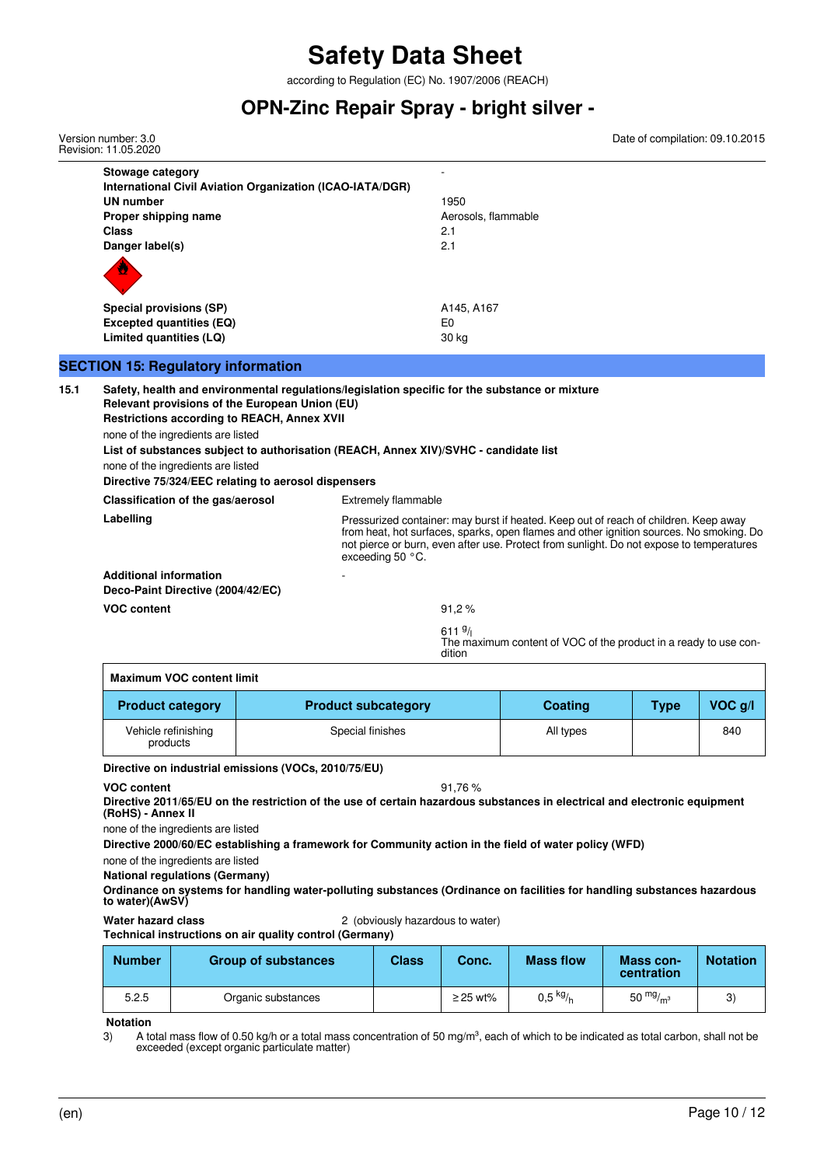according to Regulation (EC) No. 1907/2006 (REACH)

### **OPN-Zinc Repair Spray - bright silver -**

**Stowage category** - **International Civil Aviation Organization (ICAO-IATA/DGR) UN number** 1950 **Proper shipping name Aerosols**, flammable **Class** 2.1 **Danger label(s)** 2.1 **Special provisions (SP)** A145, A167 **Excepted quantities (EQ)** E0 **Limited quantities (LQ)** 30 kg **SECTION 15: Regulatory information 15.1 Safety, health and environmental regulations/legislation specific for the substance or mixture Relevant provisions of the European Union (EU) Restrictions according to REACH, Annex XVII** none of the ingredients are listed **List of substances subject to authorisation (REACH, Annex XIV)/SVHC - candidate list** none of the ingredients are listed **Directive 75/324/EEC relating to aerosol dispensers Classification of the gas/aerosol** Extremely flammable Labelling **Labelling Pressurized container: may burst if heated. Keep out of reach of children. Keep away** from heat, hot surfaces, sparks, open flames and other ignition sources. No smoking. Do not pierce or burn, even after use. Protect from sunlight. Do not expose to temperatures exceeding 50 °C. **Additional information Deco-Paint Directive (2004/42/EC) VOC content** 91,2 %  $6119/$ The maximum content of VOC of the product in a ready to use condition Version number: 3.0 Revision: 11.05.2020 Date of compilation: 09.10.2015

| <b>Maximum VOC content limit</b> |                            |           |             |         |
|----------------------------------|----------------------------|-----------|-------------|---------|
| <b>Product category</b>          | <b>Product subcategory</b> | Coating   | <b>Type</b> | VOC q/l |
| Vehicle refinishing<br>products  | Special finishes           | All types |             | 840     |

#### **Directive on industrial emissions (VOCs, 2010/75/EU)**

**VOC content** 91,76 %

**Directive 2011/65/EU on the restriction of the use of certain hazardous substances in electrical and electronic equipment (RoHS) - Annex II**

none of the ingredients are listed

**Directive 2000/60/EC establishing a framework for Community action in the field of water policy (WFD)**

none of the ingredients are listed

**National regulations (Germany)**

**Ordinance on systems for handling water-polluting substances (Ordinance on facilities for handling substances hazardous to water)(AwSV)**

**Water hazard class** 2 (obviously hazardous to water)

**Technical instructions on air quality control (Germany)**

| <b>Number</b> | <b>Group of substances</b> | Class | Conc.         | <b>Mass flow</b>                   | Mass con-<br>centration | <b>Notation</b> |
|---------------|----------------------------|-------|---------------|------------------------------------|-------------------------|-----------------|
| 5.2.5         | Organic substances         |       | $\geq$ 25 wt% | $0,5$ <sup>kg</sup> / <sub>h</sub> | 50 $mg/m3$              |                 |

**Notation**

3) A total mass flow of 0.50 kg/h or a total mass concentration of 50 mg/m<sup>3</sup>, each of which to be indicated as total carbon, shall not be exceeded (except organic particulate matter)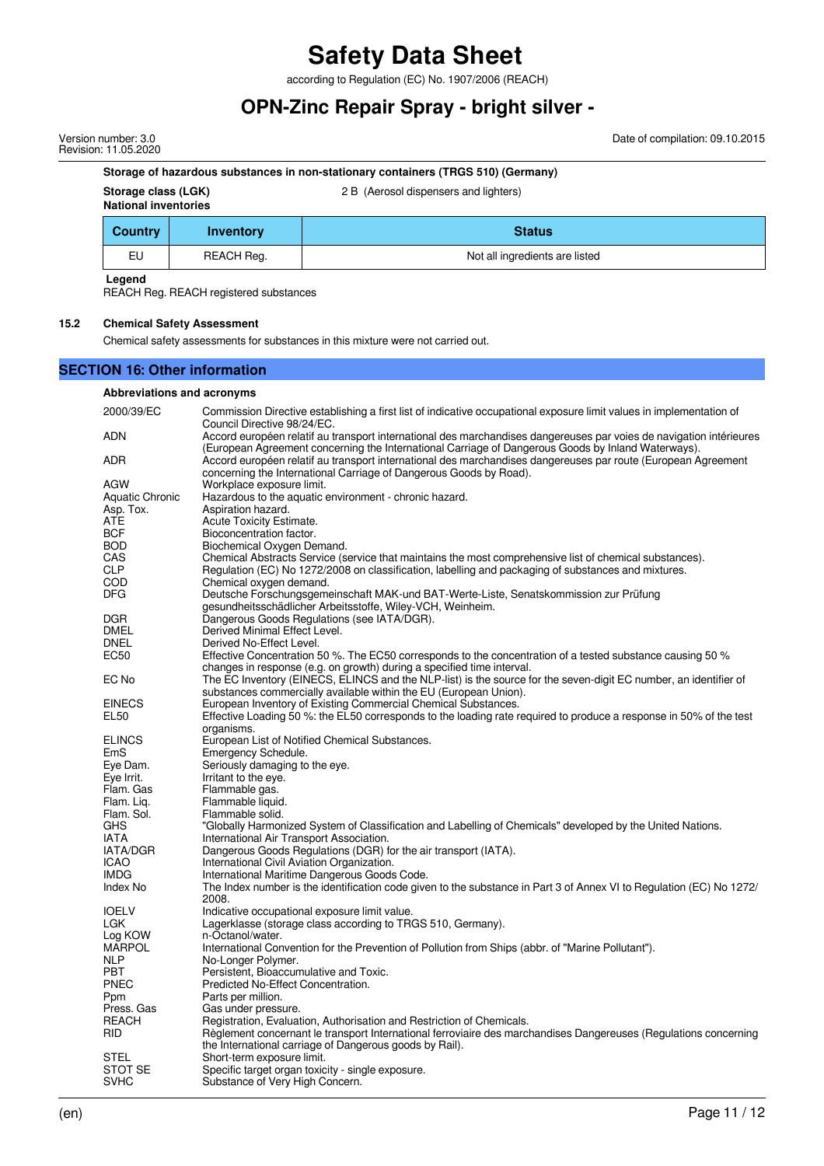according to Regulation (EC) No. 1907/2006 (REACH)

## **OPN-Zinc Repair Spray - bright silver -**

Version number: 3.0 Revision: 11.05.2020 Date of compilation: 09.10.2015

#### **Storage of hazardous substances in non-stationary containers (TRGS 510) (Germany)**

**Storage class (LGK)** 2 B (Aerosol dispensers and lighters)

#### **National inventories**

|  | 2 B (Aerosol dispensers and lighters) |  |
|--|---------------------------------------|--|
|--|---------------------------------------|--|

| <b>Country</b> | Inventory         | <b>Status</b>                  |
|----------------|-------------------|--------------------------------|
| EU             | <b>REACH Reg.</b> | Not all ingredients are listed |

**Legend**

REACH Reg. REACH registered substances

#### **15.2 Chemical Safety Assessment**

Chemical safety assessments for substances in this mixture were not carried out.

#### **SECTION 16: Other information**

#### **Abbreviations and acronyms**

| 2000/39/EC                 | Commission Directive establishing a first list of indicative occupational exposure limit values in implementation of<br>Council Directive 98/24/EC.                                                                       |
|----------------------------|---------------------------------------------------------------------------------------------------------------------------------------------------------------------------------------------------------------------------|
| ADN                        | Accord européen relatif au transport international des marchandises dangereuses par voies de navigation intérieures<br>(European Agreement concerning the International Carriage of Dangerous Goods by Inland Waterways). |
| ADR                        | Accord européen relatif au transport international des marchandises dangereuses par route (European Agreement<br>concerning the International Carriage of Dangerous Goods by Road).                                       |
| AGW                        | Workplace exposure limit.                                                                                                                                                                                                 |
| Aquatic Chronic            | Hazardous to the aquatic environment - chronic hazard.                                                                                                                                                                    |
| Asp. Tox.                  | Aspiration hazard.                                                                                                                                                                                                        |
| ATE                        | Acute Toxicity Estimate.                                                                                                                                                                                                  |
| <b>BCF</b>                 | Bioconcentration factor.                                                                                                                                                                                                  |
| <b>BOD</b>                 | Biochemical Oxygen Demand.                                                                                                                                                                                                |
| CAS                        | Chemical Abstracts Service (service that maintains the most comprehensive list of chemical substances).                                                                                                                   |
| <b>CLP</b>                 | Regulation (EC) No 1272/2008 on classification, labelling and packaging of substances and mixtures.                                                                                                                       |
| COD                        | Chemical oxygen demand.                                                                                                                                                                                                   |
| <b>DFG</b>                 | Deutsche Forschungsgemeinschaft MAK-und BAT-Werte-Liste, Senatskommission zur Prüfung                                                                                                                                     |
|                            | gesundheitsschädlicher Arbeitsstoffe, Wiley-VCH, Weinheim.                                                                                                                                                                |
| <b>DGR</b>                 | Dangerous Goods Regulations (see IATA/DGR).                                                                                                                                                                               |
| DMEL                       | Derived Minimal Effect Level.                                                                                                                                                                                             |
| <b>DNEL</b>                | Derived No-Effect Level.                                                                                                                                                                                                  |
| EC50                       | Effective Concentration 50 %. The EC50 corresponds to the concentration of a tested substance causing 50 %                                                                                                                |
|                            | changes in response (e.g. on growth) during a specified time interval.                                                                                                                                                    |
| EC No                      | The EC Inventory (EINECS, ELINCS and the NLP-list) is the source for the seven-digit EC number, an identifier of                                                                                                          |
|                            | substances commercially available within the EU (European Union).                                                                                                                                                         |
| <b>EINECS</b>              | European Inventory of Existing Commercial Chemical Substances.                                                                                                                                                            |
| EL50                       | Effective Loading 50 %: the EL50 corresponds to the loading rate required to produce a response in 50% of the test                                                                                                        |
|                            | organisms.                                                                                                                                                                                                                |
| <b>ELINCS</b>              | European List of Notified Chemical Substances.                                                                                                                                                                            |
| EmS                        | Emergency Schedule.                                                                                                                                                                                                       |
| Eye Dam.                   | Seriously damaging to the eye.                                                                                                                                                                                            |
| Eye Irrit.                 | Irritant to the eye.                                                                                                                                                                                                      |
| Flam. Gas                  | Flammable gas.                                                                                                                                                                                                            |
| Flam. Lig.                 | Flammable liquid.                                                                                                                                                                                                         |
| Flam. Sol.                 | Flammable solid.                                                                                                                                                                                                          |
| <b>GHS</b>                 | "Globally Harmonized System of Classification and Labelling of Chemicals" developed by the United Nations.                                                                                                                |
| IATA                       | International Air Transport Association.                                                                                                                                                                                  |
| IATA/DGR                   |                                                                                                                                                                                                                           |
| <b>ICAO</b>                | Dangerous Goods Regulations (DGR) for the air transport (IATA).<br>International Civil Aviation Organization.                                                                                                             |
|                            |                                                                                                                                                                                                                           |
| IMDG                       | International Maritime Dangerous Goods Code.                                                                                                                                                                              |
| Index No                   | The Index number is the identification code given to the substance in Part 3 of Annex VI to Regulation (EC) No 1272/                                                                                                      |
|                            | 2008.                                                                                                                                                                                                                     |
| <b>IOELV</b>               | Indicative occupational exposure limit value.                                                                                                                                                                             |
| LGK                        | Lagerklasse (storage class according to TRGS 510, Germany).<br>n-Octanol/water.                                                                                                                                           |
| Log KOW<br><b>MARPOL</b>   |                                                                                                                                                                                                                           |
| NLP                        | International Convention for the Prevention of Pollution from Ships (abbr. of "Marine Pollutant").                                                                                                                        |
| PBT                        | No-Longer Polymer.                                                                                                                                                                                                        |
| <b>PNEC</b>                | Persistent, Bioaccumulative and Toxic.<br>Predicted No-Effect Concentration.                                                                                                                                              |
|                            | Parts per million.                                                                                                                                                                                                        |
| Ppm                        |                                                                                                                                                                                                                           |
| Press, Gas<br><b>REACH</b> | Gas under pressure.                                                                                                                                                                                                       |
| <b>RID</b>                 | Registration, Evaluation, Authorisation and Restriction of Chemicals.                                                                                                                                                     |
|                            | Règlement concernant le transport International ferroviaire des marchandises Dangereuses (Regulations concerning                                                                                                          |
|                            | the International carriage of Dangerous goods by Rail).                                                                                                                                                                   |
| STEL                       | Short-term exposure limit.                                                                                                                                                                                                |
| STOT SE                    | Specific target organ toxicity - single exposure.                                                                                                                                                                         |
| <b>SVHC</b>                | Substance of Very High Concern.                                                                                                                                                                                           |